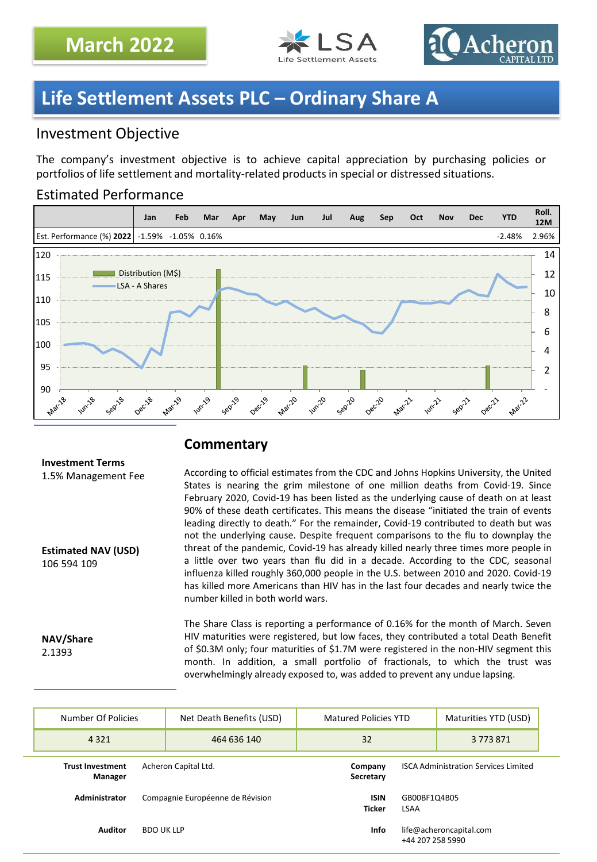



## **Life Settlement Assets PLC – Ordinary Share A**

### Investment Objective

The company's investment objective is to achieve capital appreciation by purchasing policies or portfolios of life settlement and mortality-related products in special or distressed situations.

### Estimated Performance



### **Commentary**

#### **Investment Terms**

1.5% Management Fee

**Estimated NAV (USD)** 106 594 109

**NAV/Share** 2.1393

According to official estimates from the CDC and Johns Hopkins University, the United States is nearing the grim milestone of one million deaths from Covid-19. Since February 2020, Covid-19 has been listed as the underlying cause of death on at least 90% of these death certificates. This means the disease "initiated the train of events leading directly to death." For the remainder, Covid-19 contributed to death but was not the underlying cause. Despite frequent comparisons to the flu to downplay the threat of the pandemic, Covid-19 has already killed nearly three times more people in a little over two years than flu did in a decade. According to the CDC, seasonal influenza killed roughly 360,000 people in the U.S. between 2010 and 2020. Covid-19 has killed more Americans than HIV has in the last four decades and nearly twice the number killed in both world wars.

The Share Class is reporting a performance of 0.16% for the month of March. Seven HIV maturities were registered, but low faces, they contributed a total Death Benefit of \$0.3M only; four maturities of \$1.7M were registered in the non-HIV segment this month. In addition, a small portfolio of fractionals, to which the trust was overwhelmingly already exposed to, was added to prevent any undue lapsing.

|                                     | Number Of Policies                                         |                                  | Net Death Benefits (USD)                    | <b>Matured Policies YTD</b>                 |                             | Maturities YTD (USD) |
|-------------------------------------|------------------------------------------------------------|----------------------------------|---------------------------------------------|---------------------------------------------|-----------------------------|----------------------|
|                                     | 4 3 2 1                                                    |                                  | 464 636 140                                 | 32                                          |                             | 3773871              |
|                                     | <b>Trust Investment</b><br>Acheron Capital Ltd.<br>Manager |                                  | Company<br>Secretary                        | <b>ISCA Administration Services Limited</b> |                             |                      |
|                                     | Administrator                                              | Compagnie Européenne de Révision |                                             | <b>ISIN</b><br><b>Ticker</b>                | GB00BF1Q4B05<br><b>LSAA</b> |                      |
| <b>Auditor</b><br><b>BDO UK LLP</b> |                                                            | <b>Info</b>                      | life@acheroncapital.com<br>+44 207 258 5990 |                                             |                             |                      |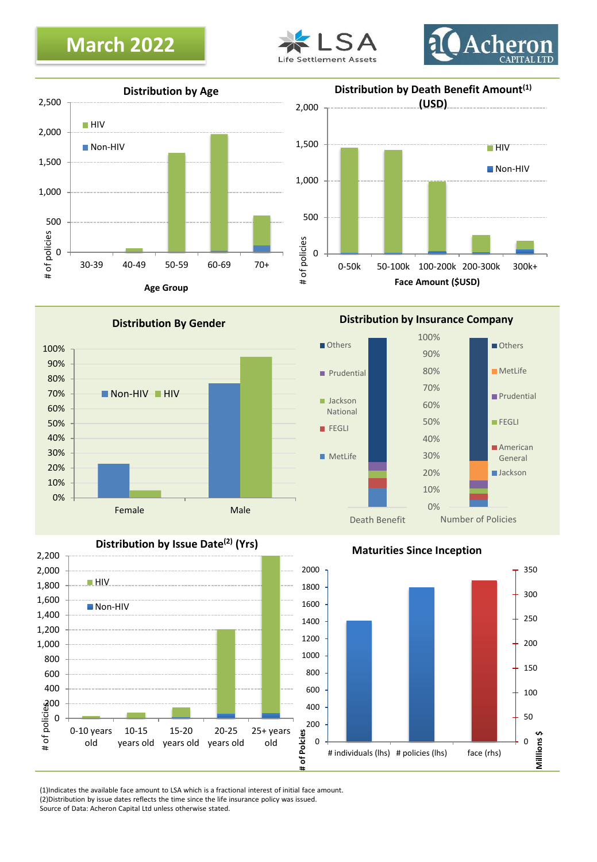## **March 2022**







**Distribution By Gender**



**Distribution by Issue Date(2) (Yrs)**



0%

Number of Policies

**Maturities Since Inception**

Death Benefit



(1)Indicates the available face amount to LSA which is a fractional interest of initial face amount. (2)Distribution by issue dates reflects the time since the life insurance policy was issued. Source of Data: Acheron Capital Ltd unless otherwise stated.

0 200 # of policies

400 600 800 1,000 1,200 1,400 1,600 1,800 2,000 2,200